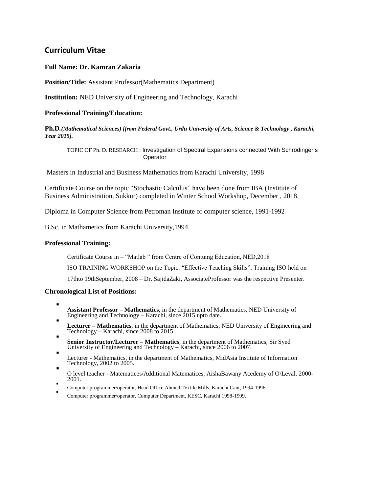## **Curriculum Vitae**

### **Full Name: Dr. Kamran Zakaria**

**Position/Title:** Assistant Professor(Mathematics Department)

**Institution:** NED University of Engineering and Technology, Karachi

#### **Professional Training/Education:**

**Ph.D***.(Mathematical Sciences) [from Federal Govt., Urdu University of Arts, Science & Technology , Karachi, Year 2015].*

TOPIC OF Ph. D. RESEARCH : Investigation of Spectral Expansions connected With Schrödinger's **Operator** 

Masters in Industrial and Business Mathematics from Karachi University, 1998

Certificate Course on the topic "Stochastic Calculus" have been done from IBA (Institute of Business Administration, Sukkur) completed in Winter School Workshop, December , 2018.

Diploma in Computer Science from Petroman Institute of computer science, 1991-1992

B.Sc. in Mathametics from Karachi University,1994.

#### **Professional Training:**

Certificate Course in – "Matlab " from Centre of Contuing Education, NED,2018

ISO TRAINING WORKSHOP on the Topic: "Effective Teaching Skills"; Training ISO held on

17thto 19thSeptember, 2008 – Dr. SajidaZaki, AssociateProfessor was the respective Presenter.

#### **Chronological List of Positions:**

- . **Assistant Professor – Mathematics**, in the department of Mathematics, NED University of Engineering and Technology – Karachi, since 2015 upto date.
- . **Lecturer – Mathematics**, in the department of Mathematics, NED University of Engineering and Technology – Karachi, since 2008 to 2015
- . **Senior Instructor/Lecturer – Mathematics**, in the department of Mathematics, Sir Syed University of Engineering and Technology – Karachi, since 2006 to 2007.
- . Lecturer - Mathematics, in the department of Mathematics, MidAsia Institute of Information Technology, 2002 to 2005.
- . O level teacher - Matematices/Additional Matematices, AishaBawany Acedemy of O\Leval. 2000- 2001.
- . Computer programmer/operator, Head Office Ahmed Textile Mills, Karachi Cant, 1994-1996.
- . Computer programmer/operator, Computer Department, KESC. Karachi 1998-1999.